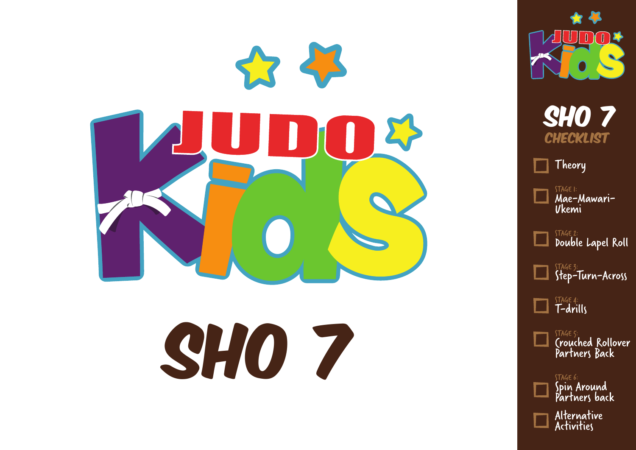

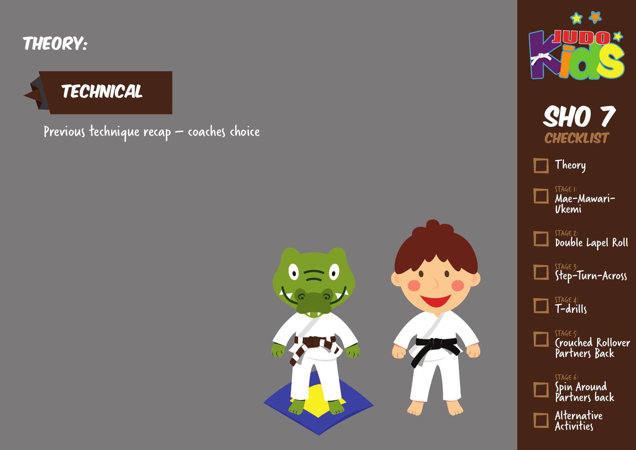

#### **TECHNICAL**

Previous technique recap – coaches choice Shows and the show of the show of the show of the Shows of the Shows of









STAGE 1: Mae-Mawari-

Ukemi

STAGE 2:  $\Box$ 

Double Lapel Roll

STAGE 3: Step-Turn-Across

STAGE 4: T-drills

> STAGE 5: Crouched Rollover Partners Back

STAGE 6: Spin Around Partners back Alternative Activities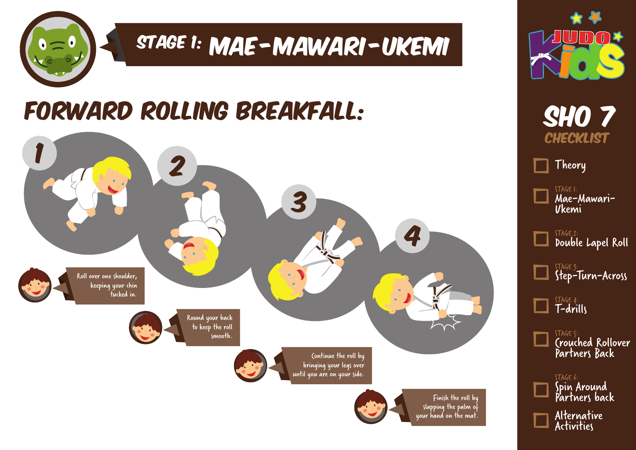

# STAGE 1: MAE - MAWARI - UKEMI

### Forward Rolling Breakfall:





**SHO 7 CHECKLIST** 

Theory

STAGE 1: Mae-Mawari-Ukemi

STAGE 2: Double Lapel Roll

> STAGE 3: Step-Turn-Across

STAGE 4: T-drills

> STAGE 5: Crouched Rollover Partners Back

STAGE 6: Spin Around Partners back Alternative Activities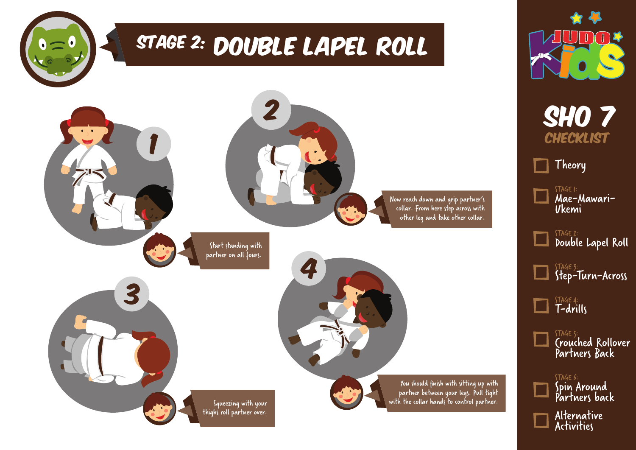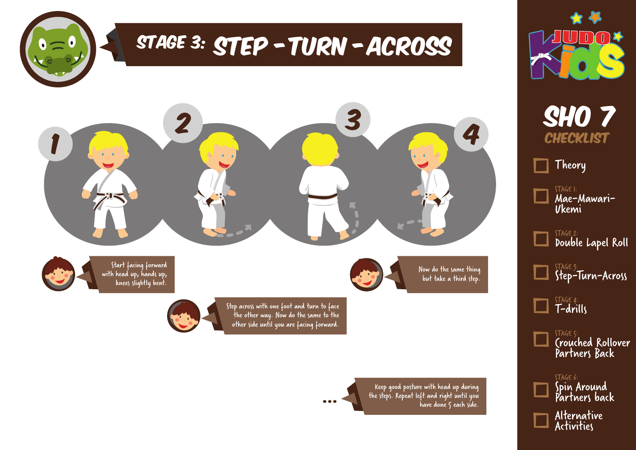





Alternative Activities

Keep good posture with head up during the steps. Repeat left and right until you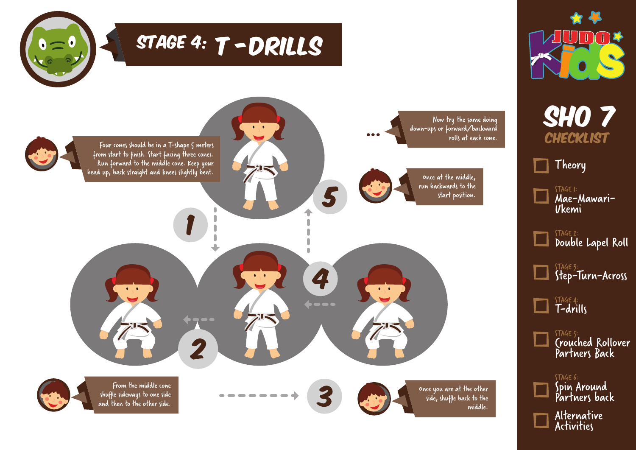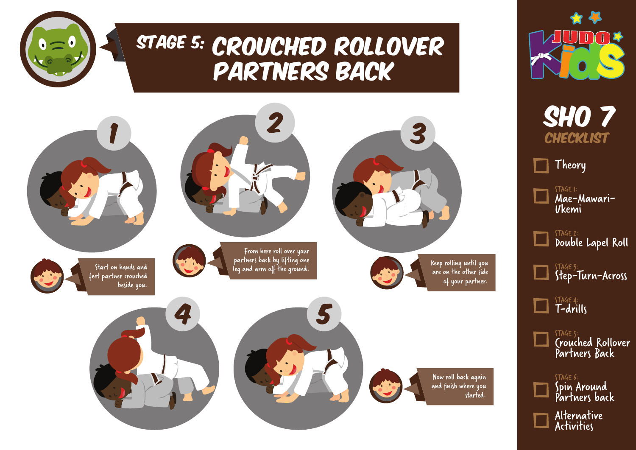

#### STAGE 5: CROUCHED ROLLOVER Partners Back





**SHO 7 CHECKLIST** 

Theory

STAGE 1: Mae-Mawari-Ukemi

STAGE 2: Double Lapel Roll

> STAGE 3: Step-Turn-Across

STAGE 4: T-drills

> STAGE 5: Crouched Rollover Partners Back

STAGE 6: Spin Around Partners back Alternative Activities